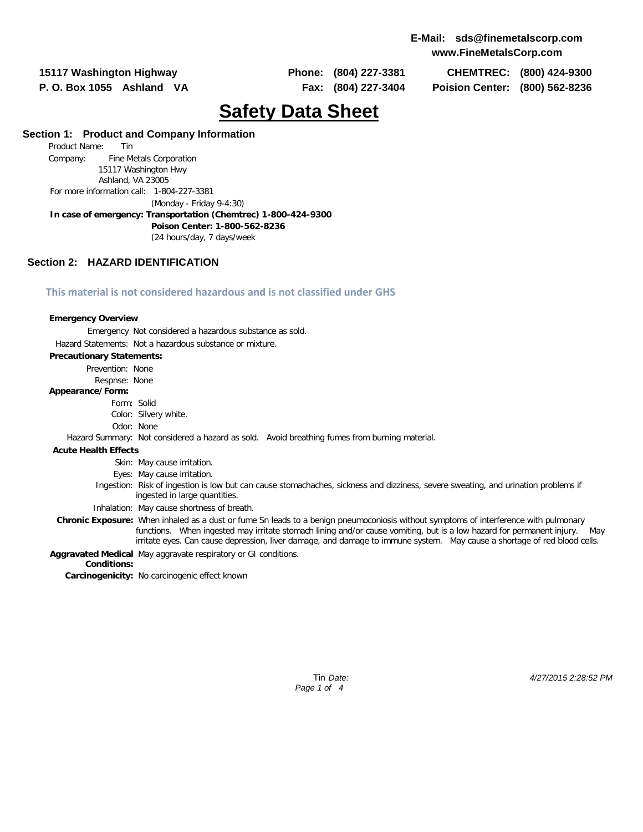**15117 Washington Highway Phone: (804) 227-3381 CHEMTREC: (800) 424-9300 P. O. Box 1055 Ashland VA Fax: (804) 227-3404 Poision Center: (800) 562-8236**

# **Safety Data Sheet**

# **Section 1: Product and Company Information**

Product Name: Tin Company: Fine Metals Corporation 15117 Washington Hwy Ashland, VA 23005 For more information call: 1-804-227-3381 (Monday - Friday 9-4:30) **In case of emergency: Transportation (Chemtrec) 1-800-424-9300 Poison Center: 1-800-562-8236** (24 hours/day, 7 days/week

# **Section 2: HAZARD IDENTIFICATION**

### **This material is not considered hazardous and is not classified under GHS**

#### **Emergency Overview**

Emergency Not considered a hazardous substance as sold.

#### Hazard Statements: Not a hazardous substance or mixture.

#### **Precautionary Statements:**

Prevention: None

# Respnse: None

### **Appearance/Form:**

- Form: Solid
- Color: Silvery white.
- Odor: None

### Hazard Summary: Not considered a hazard as sold. Avoid breathing fumes from burning material.

### **Acute Health Effects**

Skin: May cause irritation.

- Eyes: May cause irritation.
- Ingestion: Risk of ingestion is low but can cause stomachaches, sickness and dizziness, severe sweating, and urination problems if ingested in large quantities.
- Inhalation: May cause shortness of breath.
- **Chronic Exposure:** When inhaled as a dust or fume Sn leads to a benign pneumoconiosis without symptoms of interference with pulmonary functions. When ingested may irritate stomach lining and/or cause vomiting, but is a low hazard for permanent injury. irritate eyes. Can cause depression, liver damage, and damage to immune system. May cause a shortage of red blood cells.

**Aggravated Medical** May aggravate respiratory or GI conditions.

### **Conditions:**

**Carcinogenicity:** No carcinogenic effect known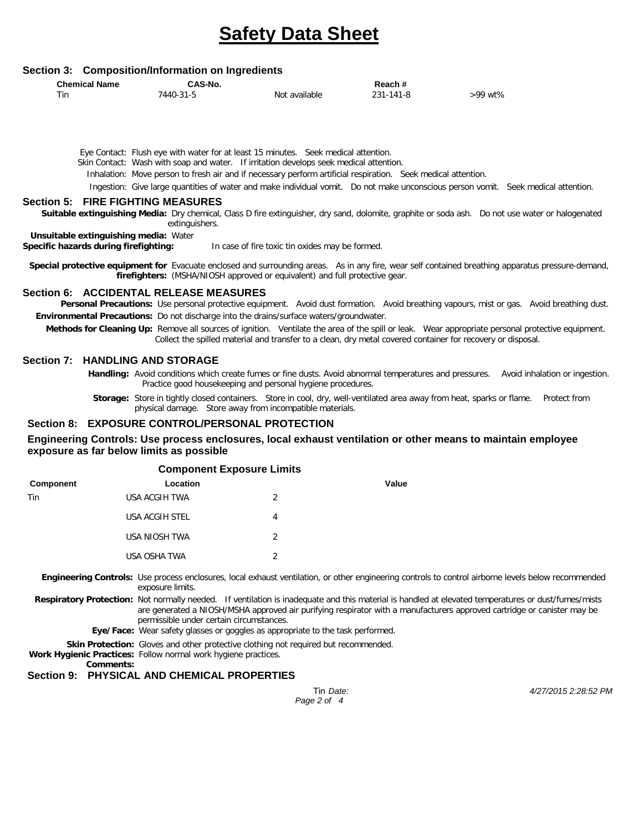# **Safety Data Sheet**

### **Section 3: Composition/Information on Ingredients**

| <b>Chemical Name</b> | CAS-No.   |               | Reach#    |         |  |  |
|----------------------|-----------|---------------|-----------|---------|--|--|
| Tin                  | 7440-31-5 | Not available | 231-141-8 | >99 wt% |  |  |

Eye Contact: Flush eye with water for at least 15 minutes. Seek medical attention. Skin Contact: Wash with soap and water. If irritation develops seek medical attention.

Inhalation: Move person to fresh air and if necessary perform artificial respiration. Seek medical attention.

Ingestion: Give large quantities of water and make individual vomit. Do not make unconscious person vomit. Seek medical attention.

# **Section 5: FIRE FIGHTING MEASURES**

**Suitable extinguishing Media:** Dry chemical, Class D fire extinguisher, dry sand, dolomite, graphite or soda ash. Do not use water or halogenated extinguishers.

**Unsuitable extinguishing media:** Water

**Specific hazards during firefighting:** In case of fire toxic tin oxides may be formed.

**Special protective equipment for** Evacuate enclosed and surrounding areas. As in any fire, wear self contained breathing apparatus pressure-demand, **firefighters:** (MSHA/NIOSH approved or equivalent) and full protective gear.

### **Section 6: ACCIDENTAL RELEASE MEASURES**

Personal Precautions: Use personal protective equipment. Avoid dust formation. Avoid breathing vapours, mist or gas. Avoid breathing dust. **Environmental Precautions:** Do not discharge into the drains/surface waters/groundwater.

**Methods for Cleaning Up:** Remove all sources of ignition. Ventilate the area of the spill or leak. Wear appropriate personal protective equipment. Collect the spilled material and transfer to a clean, dry metal covered container for recovery or disposal.

### **Section 7: HANDLING AND STORAGE**

**Handling:** Avoid conditions which create fumes or fine dusts. Avoid abnormal temperatures and pressures. Avoid inhalation or ingestion. Practice good housekeeping and personal hygiene procedures.

**Storage:** Store in tightly closed containers. Store in cool, dry, well-ventilated area away from heat, sparks or flame. Protect from physical damage. Store away from incompatible materials.

### **Section 8: EXPOSURE CONTROL/PERSONAL PROTECTION**

### **Engineering Controls: Use process enclosures, local exhaust ventilation or other means to maintain employee exposure as far below limits as possible**

| <b>Component Exposure Limits</b> |                       |   |       |  |  |  |
|----------------------------------|-----------------------|---|-------|--|--|--|
| Component                        | Location              |   | Value |  |  |  |
| Tin                              | USA ACGIH TWA         | 2 |       |  |  |  |
|                                  | <b>USA ACGIH STEL</b> | 4 |       |  |  |  |
|                                  | USA NIOSH TWA         | 2 |       |  |  |  |
|                                  | USA OSHA TWA          | 2 |       |  |  |  |
|                                  |                       |   |       |  |  |  |

**Engineering Controls:** Use process enclosures, local exhaust ventilation, or other engineering controls to control airborne levels below recommended exposure limits.

- **Respiratory Protection:** Not normally needed. If ventilation is inadequate and this material is handled at elevated temperatures or dust/fumes/mists are generated a NIOSH/MSHA approved air purifying respirator with a manufacturers approved cartridge or canister may be permissible under certain circumstances.
	- **Eye/Face:** Wear safety glasses or goggles as appropriate to the task performed.

**Skin Protection:** Gloves and other protective clothing not required but recommended.

**Work Hygienic Practices:** Follow normal work hygiene practices.

**Comments:**

# **Section 9: PHYSICAL AND CHEMICAL PROPERTIES**

*Page 2 of 4*

Tin *Date: 4/27/2015 2:28:52 PM*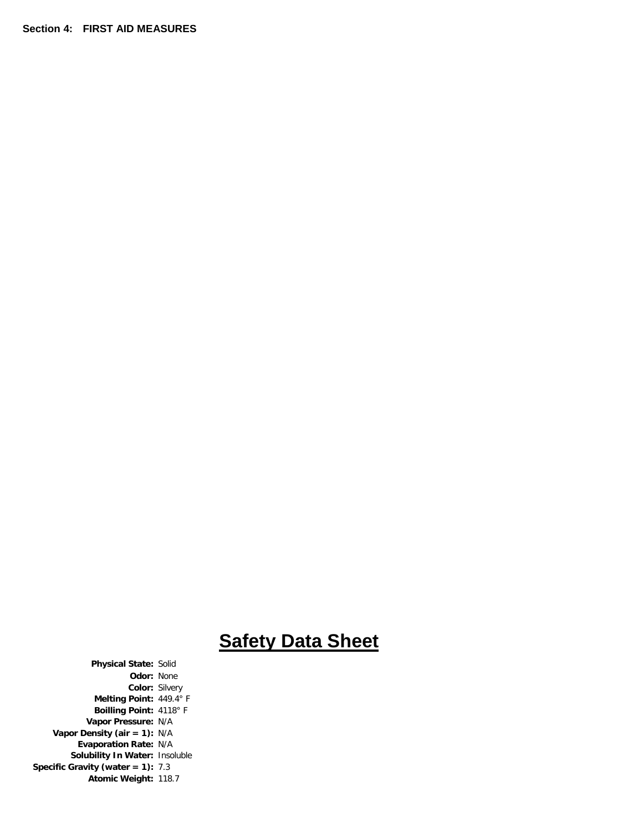**Section 4: FIRST AID MEASURES** 

# **Safety Data Sheet**

**Physical State:** Solid **Odor:** None **Color:** Silvery **Melting Point:** 449.4° F **Boilling Point:** 4118° F **Vapor Pressure:** N/A **Vapor Density (air = 1):** N/A **Evaporation Rate:** N/A **Solubility In Water:** Insoluble **Specific Gravity (water = 1):** 7.3 **Atomic Weight:** 118.7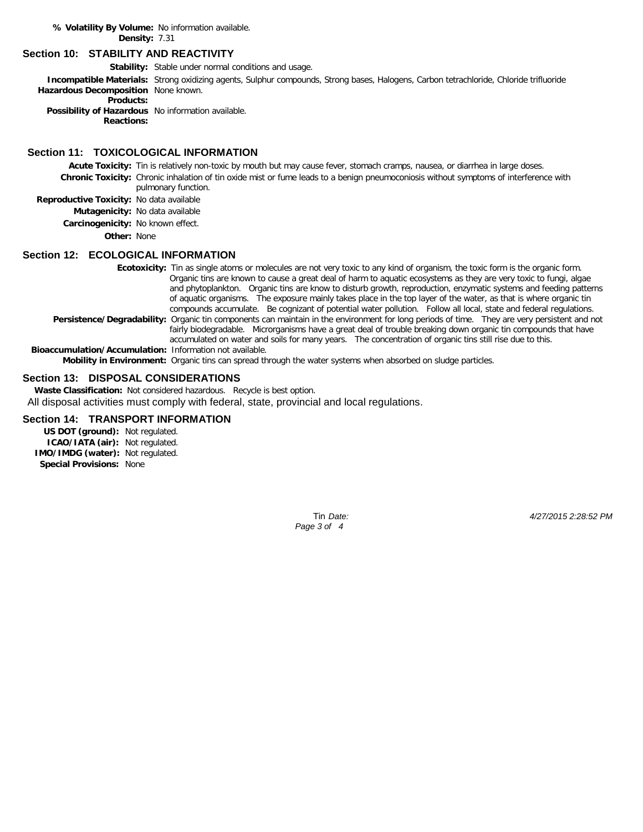**% Volatility By Volume:** No information available. **Density:** 7.31

### **Section 10: STABILITY AND REACTIVITY**

**Stability:** Stable under normal conditions and usage.

**Incompatible Materials:** Strong oxidizing agents, Sulphur compounds, Strong bases, Halogens, Carbon tetrachloride, Chloride trifluoride **Hazardous Decomposition** None known.

**Products:**

**Possibility of Hazardous** No information available. **Reactions:**

# **Section 11: TOXICOLOGICAL INFORMATION**

**Acute Toxicity:** Tin is relatively non-toxic by mouth but may cause fever, stomach cramps, nausea, or diarrhea in large doses. **Chronic Toxicity:** Chronic inhalation of tin oxide mist or fume leads to a benign pneumoconiosis without symptoms of interference with pulmonary function.

**Reproductive Toxicity:** No data available

**Mutagenicity:** No data available

**Carcinogenicity:** No known effect.

**Other:** None

# **Section 12: ECOLOGICAL INFORMATION**

**Ecotoxicity:** Tin as single atoms or molecules are not very toxic to any kind of organism, the toxic form is the organic form. Organic tins are known to cause a great deal of harm to aquatic ecosystems as they are very toxic to fungi, algae and phytoplankton. Organic tins are know to disturb growth, reproduction, enzymatic systems and feeding patterns of aquatic organisms. The exposure mainly takes place in the top layer of the water, as that is where organic tin compounds accumulate. Be cognizant of potential water pollution. Follow all local, state and federal regulations. Persistence/Degradability: Organic tin components can maintain in the environment for long periods of time. They are very persistent and not fairly biodegradable. Microrganisms have a great deal of trouble breaking down organic tin compounds that have accumulated on water and soils for many years. The concentration of organic tins still rise due to this. **Bioaccumulation/Accumulation:** Information not available.

**Mobility in Environment:** Organic tins can spread through the water systems when absorbed on sludge particles.

### **Section 13: DISPOSAL CONSIDERATIONS**

**Waste Classification:** Not considered hazardous. Recycle is best option. All disposal activities must comply with federal, state, provincial and local regulations.

# **Section 14: TRANSPORT INFORMATION**

**US DOT (ground):** Not regulated. **ICAO/IATA (air):** Not regulated. **IMO/IMDG (water):** Not regulated. **Special Provisions:** None

*Page 3 of 4*

Tin *Date: 4/27/2015 2:28:52 PM*